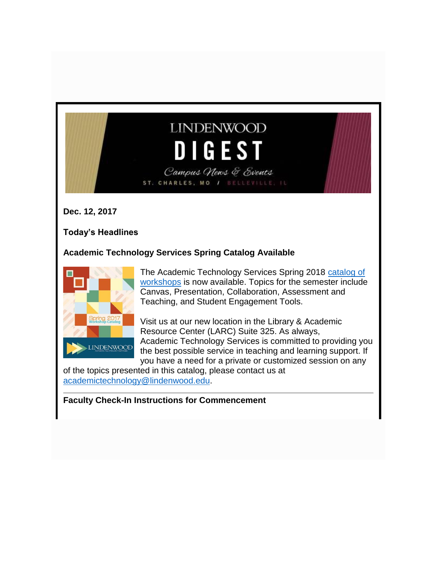# **LINDENWOOD DIGEST** Campus News & Events

ST. CHARLES, MO / BELLEVILLE, IL

**Dec. 12, 2017**

**Today's Headlines**

## **Academic Technology Services Spring Catalog Available**



The Academic Technology Services Spring 2018 [catalog of](http://felix.lindenwood.edu/newsletter/2017_12/ats_spring_2018_catalog.pdf)  [workshops](http://felix.lindenwood.edu/newsletter/2017_12/ats_spring_2018_catalog.pdf) is now available. Topics for the semester include Canvas, Presentation, Collaboration, Assessment and Teaching, and Student Engagement Tools.

Visit us at our new location in the Library & Academic Resource Center (LARC) Suite 325. As always, Academic Technology Services is committed to providing you the best possible service in teaching and learning support. If you have a need for a private or customized session on any

of the topics presented in this catalog, please contact us at [academictechnology@lindenwood.edu.](mailto:academictechnology@lindenwood.edu)

**Faculty Check-In Instructions for Commencement**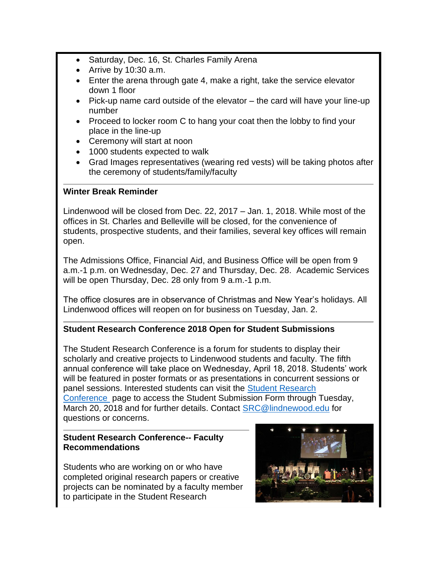- Saturday, Dec. 16, St. Charles Family Arena
- Arrive by 10:30 a.m.
- Enter the arena through gate 4, make a right, take the service elevator down 1 floor
- Pick-up name card outside of the elevator the card will have your line-up number
- Proceed to locker room C to hang your coat then the lobby to find your place in the line-up
- Ceremony will start at noon
- 1000 students expected to walk
- Grad Images representatives (wearing red vests) will be taking photos after the ceremony of students/family/faculty

#### **Winter Break Reminder**

Lindenwood will be closed from Dec. 22, 2017 – Jan. 1, 2018. While most of the offices in St. Charles and Belleville will be closed, for the convenience of students, prospective students, and their families, several key offices will remain open.

The Admissions Office, Financial Aid, and Business Office will be open from 9 a.m.-1 p.m. on Wednesday, Dec. 27 and Thursday, Dec. 28. Academic Services will be open Thursday, Dec. 28 only from 9 a.m.-1 p.m.

The office closures are in observance of Christmas and New Year's holidays. All Lindenwood offices will reopen on for business on Tuesday, Jan. 2.

## **Student Research Conference 2018 Open for Student Submissions**

The Student Research Conference is a forum for students to display their scholarly and creative projects to Lindenwood students and faculty. The fifth annual conference will take place on Wednesday, April 18, 2018. Students' work will be featured in poster formats or as presentations in concurrent sessions or panel sessions. Interested students can visit the [Student Research](http://www.lindenwood.edu/academics/beyond-the-classroom/student-research/student-applications/)  [Conference](http://www.lindenwood.edu/academics/beyond-the-classroom/student-research/student-applications/) page to access the Student Submission Form through Tuesday, March 20, 2018 and for further details. Contact [SRC@lindnewood.edu](mailto:SRC@lindnewood.edu) for questions or concerns.

#### **Student Research Conference-- Faculty Recommendations**

Students who are working on or who have completed original research papers or creative projects can be nominated by a faculty member to participate in the Student Research

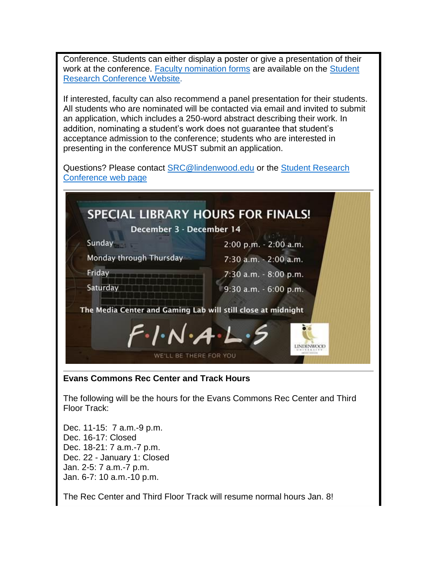Conference. Students can either display a poster or give a presentation of their work at the conference. [Faculty nomination forms](http://www.lindenwood.edu/academics/beyond-the-classroom/student-research/srse-faculty-nominations/) are available on the [Student](http://www.lindenwood.edu/academics/beyond-the-classroom/student-research/)  [Research Conference Website.](http://www.lindenwood.edu/academics/beyond-the-classroom/student-research/)

If interested, faculty can also recommend a panel presentation for their students. All students who are nominated will be contacted via email and invited to submit an application, which includes a 250-word abstract describing their work. In addition, nominating a student's work does not guarantee that student's acceptance admission to the conference; students who are interested in presenting in the conference MUST submit an application.

Questions? Please contact [SRC@lindenwood.edu](mailto:SRC@lindenwood.edu) or the [Student Research](http://www.lindenwood.edu/academics/beyond-the-classroom/student-research/)  [Conference web page](http://www.lindenwood.edu/academics/beyond-the-classroom/student-research/)



Dec. 16-17: Closed Dec. 18-21: 7 a.m.-7 p.m. Dec. 22 - January 1: Closed Jan. 2-5: 7 a.m.-7 p.m. Jan. 6-7: 10 a.m.-10 p.m.

The Rec Center and Third Floor Track will resume normal hours Jan. 8!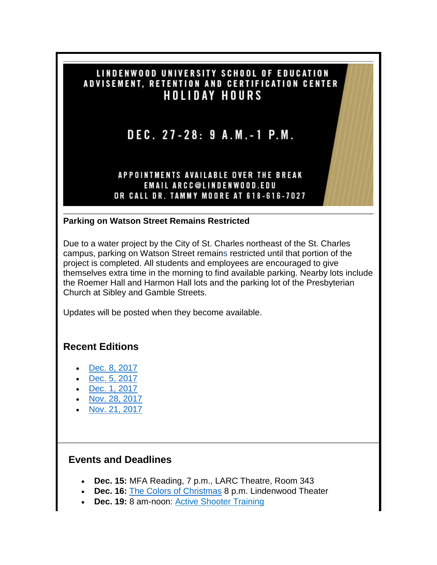## LINDENWOOD UNIVERSITY SCHOOL OF EDUCATION ADVISEMENT, RETENTION AND CERTIFICATION CENTER **HOLIDAY HOURS**

DEC. 27-28: 9 A.M.-1 P.M.

## APPOINTMENTS AVAILABLE OVER THE BREAK **EMAIL ARCC@LINDENWOOD.EDU** OR CALL DR. TAMMY MOORE AT 618-616-7027

## **Parking on Watson Street Remains Restricted**

Due to a water project by the City of St. Charles northeast of the St. Charles campus, parking on Watson Street remains restricted until that portion of the project is completed. All students and employees are encouraged to give themselves extra time in the morning to find available parking. Nearby lots include the Roemer Hall and Harmon Hall lots and the parking lot of the Presbyterian Church at Sibley and Gamble Streets.

Updates will be posted when they become available.

## **Recent Editions**

- [Dec. 8, 2017](http://felix.lindenwood.edu/newsletter/digest/2017_12/2017_12_08.pdf)
- [Dec. 5, 2017](http://felix.lindenwood.edu/newsletter/digest/2017_12/2017_12_05.pdf)
- [Dec. 1, 2017](http://felix.lindenwood.edu/newsletter/digest/2017_12/2017_12_01.pdf)
- [Nov. 28, 2017](http://felix.lindenwood.edu/newsletter/digest/2017_11/2017_11_28.pdf)
- [Nov. 21, 2017](http://felix.lindenwood.edu/newsletter/digest/2017_11/2017_11_21.pdf)

## **Events and Deadlines**

- **Dec. 15:** MFA Reading, 7 p.m., LARC Theatre, Room 343
- **Dec. 16:** [The Colors of Christmas](http://www.lindenwood.edu/j-scheidegger-center-for-the-arts/upcoming-events/main-stage-season/colors-of-christmas-dec-16/) 8 p.m. Lindenwood Theater
- **Dec. 19:** 8 am-noon: [Active Shooter Training](https://www.eventbrite.com/e/active-shooter-4-es-training-tickets-39398039597?aff=utm_source%3Deb_email%26utm_medium%3Demail%26utm_campaign%3Dnew_event_email&utm_term=eventurl_text)